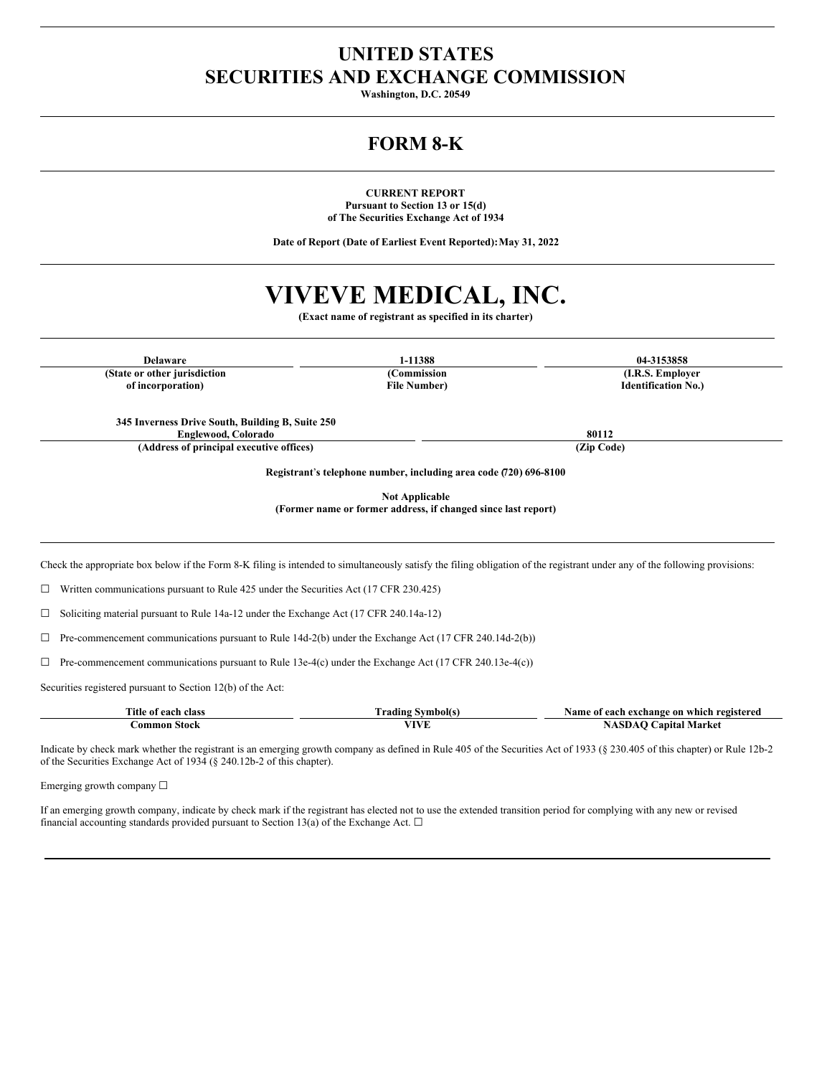## **UNITED STATES SECURITIES AND EXCHANGE COMMISSION**

**Washington, D.C. 20549**

# **FORM 8-K**

**CURRENT REPORT Pursuant to Section 13 or 15(d) of The Securities Exchange Act of 1934**

**Date of Report (Date of Earliest Event Reported):May 31, 2022**

# **VIVEVE MEDICAL, INC.**

**(Exact name of registrant as specified in its charter)**

**(State or other jurisdiction of incorporation)**

**(Commission File Number)**

**Delaware 1-11388 04-3153858 (I.R.S. Employer Identification No.)**

**345 Inverness Drive South, Building B, Suite 250 Englewood, Colorado 80112**

**(Address of principal executive offices) (Zip Code)**

**Registrant**'**s telephone number, including area code (720) 696-8100**

**Not Applicable**

**(Former name or former address, if changed since last report)**

Check the appropriate box below if the Form 8-K filing is intended to simultaneously satisfy the filing obligation of the registrant under any of the following provisions:

☐ Written communications pursuant to Rule 425 under the Securities Act (17 CFR 230.425)

☐ Soliciting material pursuant to Rule 14a-12 under the Exchange Act (17 CFR 240.14a-12)

 $\Box$  Pre-commencement communications pursuant to Rule 14d-2(b) under the Exchange Act (17 CFR 240.14d-2(b))

 $\Box$  Pre-commencement communications pursuant to Rule 13e-4(c) under the Exchange Act (17 CFR 240.13e-4(c))

Securities registered pursuant to Section 12(b) of the Act:

| Title of each class | Frading Symbol(s) | Name of each exchange on which registered |
|---------------------|-------------------|-------------------------------------------|
| Common Stock        |                   | <b>NASDAO Capital Market</b>              |

Indicate by check mark whether the registrant is an emerging growth company as defined in Rule 405 of the Securities Act of 1933 (§ 230.405 of this chapter) or Rule 12b-2 of the Securities Exchange Act of 1934 (§ 240.12b-2 of this chapter).

Emerging growth company ☐

If an emerging growth company, indicate by check mark if the registrant has elected not to use the extended transition period for complying with any new or revised financial accounting standards provided pursuant to Section 13(a) of the Exchange Act.  $\Box$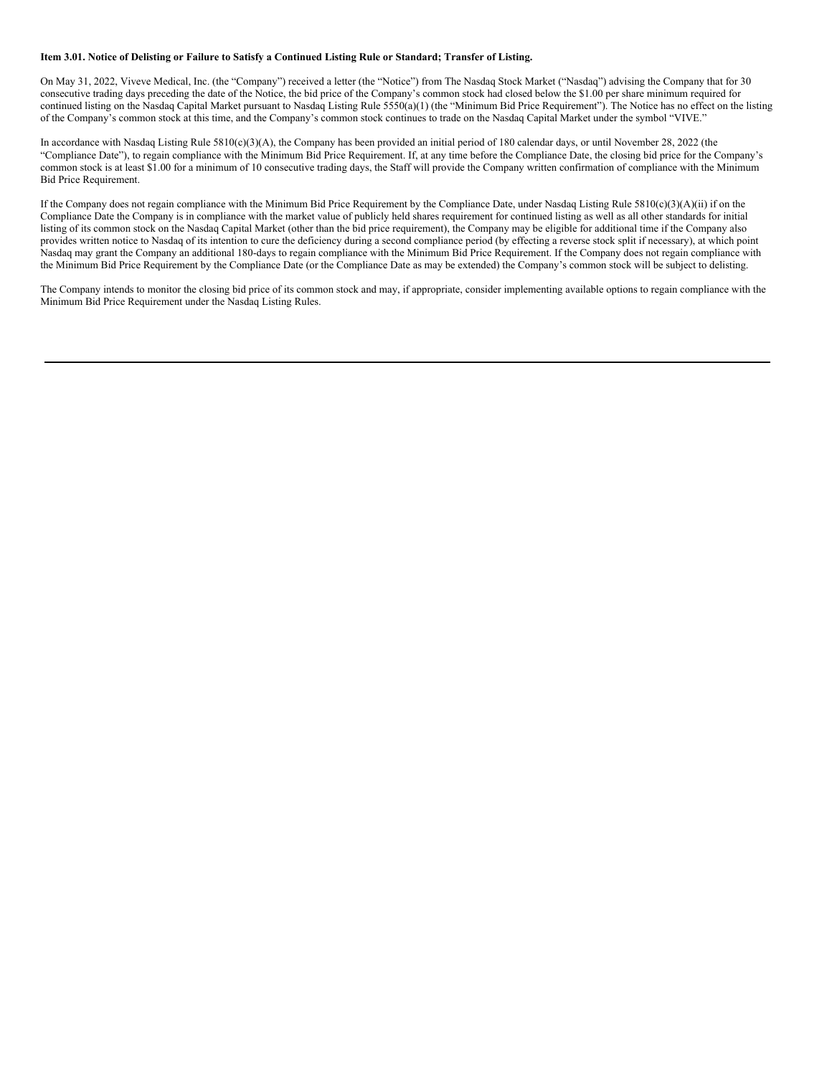#### Item 3.01. Notice of Delisting or Failure to Satisfy a Continued Listing Rule or Standard; Transfer of Listing.

On May 31, 2022, Viveve Medical, Inc. (the "Company") received a letter (the "Notice") from The Nasdaq Stock Market ("Nasdaq") advising the Company that for 30 consecutive trading days preceding the date of the Notice, the bid price of the Company's common stock had closed below the \$1.00 per share minimum required for continued listing on the Nasdaq Capital Market pursuant to Nasdaq Listing Rule 5550(a)(1) (the "Minimum Bid Price Requirement"). The Notice has no effect on the listing of the Company's common stock at this time, and the Company's common stock continues to trade on the Nasdaq Capital Market under the symbol "VIVE."

In accordance with Nasdaq Listing Rule 5810(c)(3)(A), the Company has been provided an initial period of 180 calendar days, or until November 28, 2022 (the "Compliance Date"), to regain compliance with the Minimum Bid Price Requirement. If, at any time before the Compliance Date, the closing bid price for the Company's common stock is at least \$1.00 for a minimum of 10 consecutive trading days, the Staff will provide the Company written confirmation of compliance with the Minimum Bid Price Requirement.

If the Company does not regain compliance with the Minimum Bid Price Requirement by the Compliance Date, under Nasdaq Listing Rule 5810(c)(3)(A)(ii) if on the Compliance Date the Company is in compliance with the market value of publicly held shares requirement for continued listing as well as all other standards for initial listing of its common stock on the Nasdaq Capital Market (other than the bid price requirement), the Company may be eligible for additional time if the Company also provides written notice to Nasdaq of its intention to cure the deficiency during a second compliance period (by effecting a reverse stock split if necessary), at which point Nasdaq may grant the Company an additional 180-days to regain compliance with the Minimum Bid Price Requirement. If the Company does not regain compliance with the Minimum Bid Price Requirement by the Compliance Date (or the Compliance Date as may be extended) the Company's common stock will be subject to delisting.

The Company intends to monitor the closing bid price of its common stock and may, if appropriate, consider implementing available options to regain compliance with the Minimum Bid Price Requirement under the Nasdaq Listing Rules.